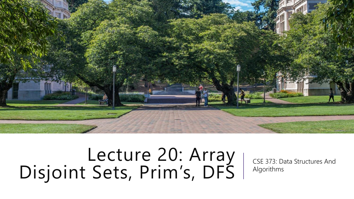

## Lecture 20: Array Disjoint Sets, Prim's, DFS

CSE 373: Data Structures And Algorithms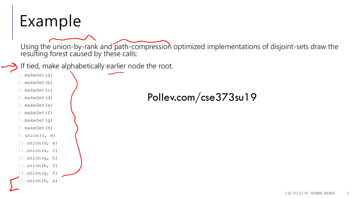#### Example

Using the union-by-rank and path-compression optimized implementations of disjoint-sets draw the resulting forest caused by these calls:

If tied, make alphabetically earlier node the root.

- 1. makeSet(a)
- 2. makeSet(b)
- 3. makeSet(c)
- 4. makeSet(d)
- 5. makeSet(e)
- 6. makeSet(f)
- 7. makeSet(g)
- 8. makeSet(h)
- 9. union(c, e)
- 10.union( $d$ ,  $e$ )
- 11.union( $a$ , c)
- 12.union $(q, h)$
- 13.union(b, f)
- 14.union( $q$ , f)
- $5.$ union(h, a)

#### Pollev.com/cse373su19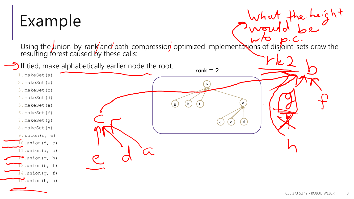#### Example

Using the union-by-rank and path-compression optimized implementations of disjoint-sets draw the resulting forest caused by these calls:

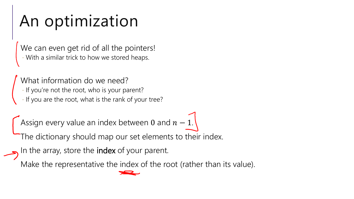## An optimization

We can even get rid of all the pointers! - With a similar trick to how we stored heaps.

What information do we need? - If you're not the root, who is your parent? - If you are the root, what is the rank of your tree?

Assign every value an index between 0 and  $n-1$ .

The dictionary should map our set elements to their index.

In the array, store the index of your parent.

Make the representative the index of the root (rather than its value).

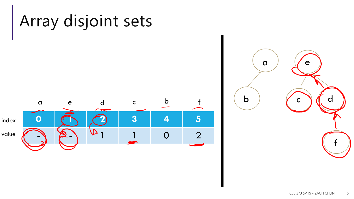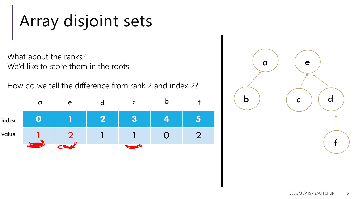## Array disjoint sets

- What about the ranks? We'd like to store them in the roots
- How do we tell the difference from rank 2 and index 2?



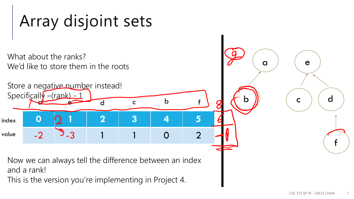## Array disjoint sets

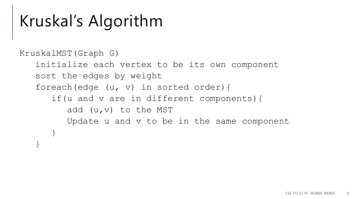### Kruskal's Algorithm

```
KruskalMST(Graph G) 
initialize each vertex to be its own component
sort the edges by weight
foreach(edge (u, v) in sorted order){
   if(u and v are in different components){
      add (u,v) to the MST
      Update u and v to be in the same component
   }
}
```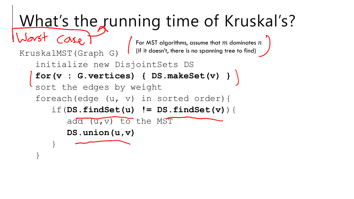# What's the running time of Kruskal's?

For MST algorithms, assume that  $m$  dominates  $n$ (if it doesn't, there is no spanning tree to find)

```
initialize new DisjointSets DS
```

```
for(v : G.vertices) { DS.makeSet(v) }
```

```
sort the edges by weight
```
KruskalMST(Graph G)

Case,

}

}

```
foreach(edge (u, v) in sorted order){
```

```
if(DS.findSet(u) != DS.findSet(v)){
```

```
add (u,v) to the MST
```

```
DS.union(u,v)
```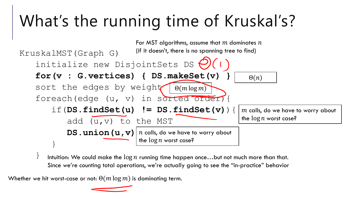## What's the running time of Kruskal's?



} Intuition: We could make the  $\log n$  running time happen once...but not much more than that. Since we're counting total operations, we're actually going to see the "in-practice" behavior

Whether we hit worst-case or not:  $\Theta(m \log m)$  is dominating term.

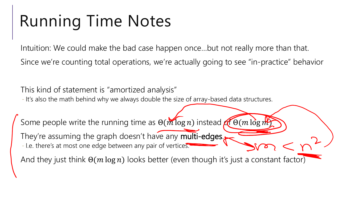## Running Time Notes

Intuition: We could make the bad case happen once…but not really more than that. Since we're counting total operations, we're actually going to see "in-practice" behavior

This kind of statement is "amortized analysis" - It's also the math behind why we always double the size of array-based data structures.

Some people write the running time as  $\Theta(m \log n)$  instead  $\Theta(m \log m)$ 

They're assuming the graph doesn't have any multi-edges. - I.e. there's at most one edge between any pair of vertices.

And they just think  $\Theta(m \log n)$  looks better (even though it's just a constant factor)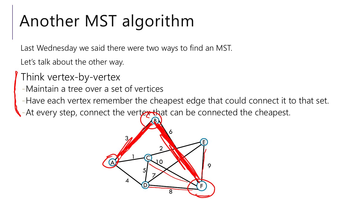## Another MST algorithm

Last Wednesday we said there were two ways to find an MST.

Let's talk about the other way.

- Think vertex-by-vertex
- -Maintain a tree over a set of vertices
- -Have each vertex remember the cheapest edge that could connect it to that set.
- -At every step, connect the vertex that can be connected the cheapest.

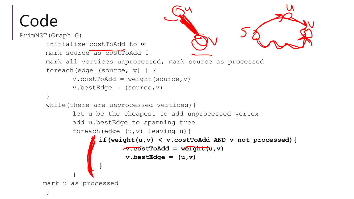## Code

```
PrimMST(Graph G) 
    initialize costToAdd to ∞
   mark source as cost ToAdd 0
   mark all vertices unprocessed, mark source as processed
    foreach(edge (source, v) ) {
           v.\text{costToAdd} = \text{weight}(\text{source}, v)v.bestEdge = (source, v)}
    while(there are unprocessed vertices){
           let u be the cheapest to add unprocessed vertex
           add u.bestEdge to spanning tree
           foreach(edge (u,v) leaving u){
                  if(weight(u,v) < v.costToAdd AND v not processed){
                        v.costToAdd = weight(u,v)
                         v. best Edge = (u, v)}
           }
   mark u as processed
    }
```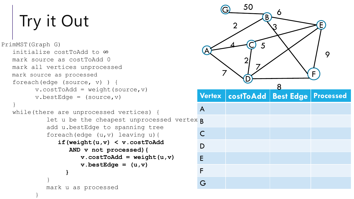# Try it Out

}

}

```
let u be the cheapest unprocessed vertex \betaPrimMST(Graph G) 
initialize costToAdd to ∞
mark source as costToAdd 0
mark all vertices unprocessed
mark source as processed
foreach(edge (source, v) ) {
      v.\text{costToAdd} = \text{weight}(\text{source}, v)v.bestEdge = (source, v)}
while(there are unprocessed vertices) {
          add u.bestEdge to spanning tree
          foreach(edge (u, v) leaving u) {
             if(weight(u,v) < v.costToAdd
                 AND v not processed){
                    v.\text{costToAdd} = \text{weight}(u,v)v. best Edge = (u, v)}
```
mark u as processed

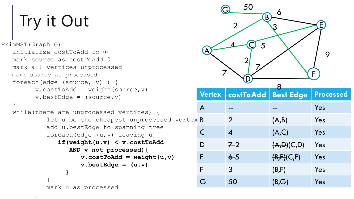# Try it Out

```
PrimMST(Graph G) 
initialize costToAdd to ∞
mark source as costToAdd 0
mark all vertices unprocessed
mark source as processed
foreach(edge (source, v) ) {
      v.\text{costToAdd} = \text{weight}(\text{source}, v)v.bestEdge = (source, v)}
while(there are unprocessed vertices) {
          let u be the cheapest unprocessed vertex \betaadd u.bestEdge to spanning tree
          foreach(edge (u,v) leaving u){
```
**}**

mark u as processed

}

}

**if(weight(u,v) < v.costToAdd AND v not processed){**  $v.\text{costToAdd} = \text{weight}(u,v)$ 

```
v. best Edge = (u, v)
```
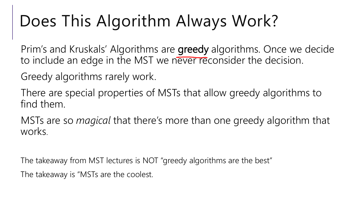## Does This Algorithm Always Work?

Prim's and Kruskals' Algorithms are greedy algorithms. Once we decide to include an edge in the MST we never reconsider the decision.

Greedy algorithms rarely work.

There are special properties of MSTs that allow greedy algorithms to find them.

MSTs are so *magical* that there's more than one greedy algorithm that works.

The takeaway from MST lectures is NOT "greedy algorithms are the best" The takeaway is "MSTs are the coolest.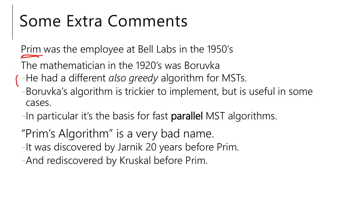## Some Extra Comments

Prim was the employee at Bell Labs in the 1950's

The mathematician in the 1920's was Boruvka

- -He had a different *also greedy* algorithm for MSTs.
- -Boruvka's algorithm is trickier to implement, but is useful in some cases.
- -In particular it's the basis for fast parallel MST algorithms.
- "Prim's Algorithm" is a very bad name.
- -It was discovered by Jarnik 20 years before Prim.
- -And rediscovered by Kruskal before Prim.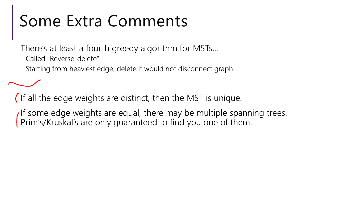## Some Extra Comments

There's at least a fourth greedy algorithm for MSTs…

-Called "Reverse-delete"

- Starting from heaviest edge, delete if would not disconnect graph.

(If all the edge weights are distinct, then the MST is unique.

If some edge weights are equal, there may be multiple spanning trees. Prim's/Kruskal's are only guaranteed to find you one of them.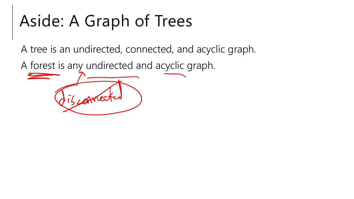## Aside: A Graph of Trees

A tree is an undirected, connected, and acyclic graph.

A forest is any undirected and acyclic graph.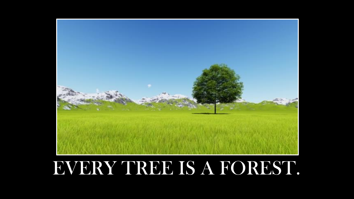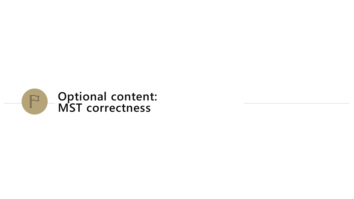